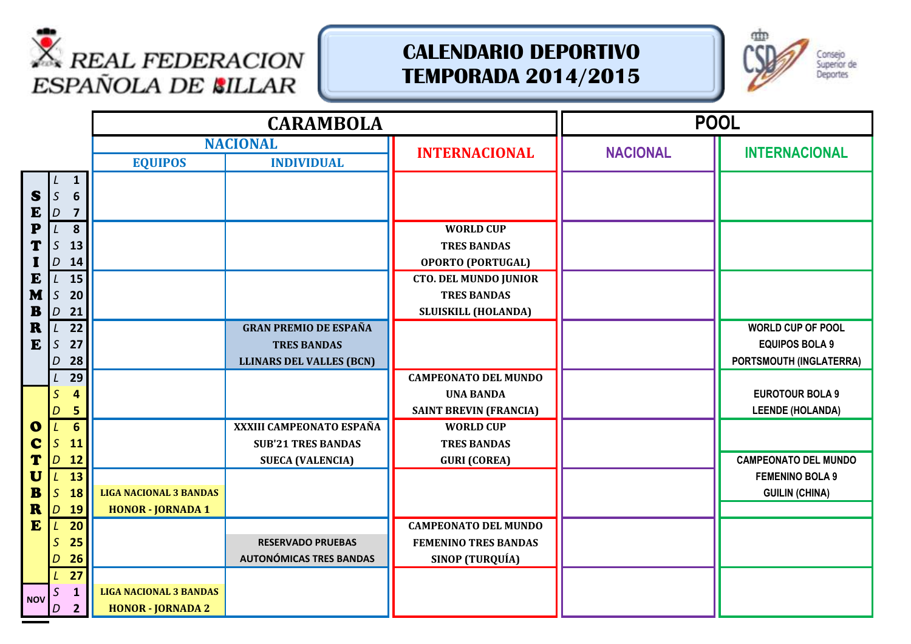



|              |                                           |                               | <b>CARAMBOLA</b>                |                                                    | <b>POOL</b>     |                             |
|--------------|-------------------------------------------|-------------------------------|---------------------------------|----------------------------------------------------|-----------------|-----------------------------|
|              |                                           |                               | <b>NACIONAL</b>                 |                                                    | <b>NACIONAL</b> | <b>INTERNACIONAL</b>        |
|              |                                           | <b>EQUIPOS</b>                | <b>INDIVIDUAL</b>               | <b>INTERNACIONAL</b>                               |                 |                             |
|              | $\mathbf{1}$                              |                               |                                 |                                                    |                 |                             |
| S            | $\mathsf S$<br>$6\phantom{1}6$            |                               |                                 |                                                    |                 |                             |
| E            | $\overline{D}$<br>$\overline{\mathbf{z}}$ |                               |                                 |                                                    |                 |                             |
| P            | 8<br>L                                    |                               |                                 | <b>WORLD CUP</b>                                   |                 |                             |
| Т            | $\mathsf S$<br>13                         |                               |                                 | <b>TRES BANDAS</b>                                 |                 |                             |
|              | D<br>14                                   |                               |                                 | <b>OPORTO (PORTUGAL)</b>                           |                 |                             |
| E<br>M       | 15<br>L<br>$\mathsf S$<br>20              |                               |                                 | <b>CTO. DEL MUNDO JUNIOR</b><br><b>TRES BANDAS</b> |                 |                             |
| ${\bf B}$    | $\overline{D}$<br>21                      |                               |                                 | <b>SLUISKILL (HOLANDA)</b>                         |                 |                             |
| R            | 22<br>L                                   |                               | <b>GRAN PREMIO DE ESPAÑA</b>    |                                                    |                 | <b>WORLD CUP OF POOL</b>    |
| E            | $\mathcal{S}$<br>27                       |                               | <b>TRES BANDAS</b>              |                                                    |                 | <b>EQUIPOS BOLA 9</b>       |
|              | 28<br>D                                   |                               | <b>LLINARS DEL VALLES (BCN)</b> |                                                    |                 | PORTSMOUTH (INGLATERRA)     |
|              | 29                                        |                               |                                 | <b>CAMPEONATO DEL MUNDO</b>                        |                 |                             |
|              | 4<br>S                                    |                               |                                 | <b>UNA BANDA</b>                                   |                 | <b>EUROTOUR BOLA 9</b>      |
|              | 5<br>D                                    |                               |                                 | <b>SAINT BREVIN (FRANCIA)</b>                      |                 | <b>LEENDE (HOLANDA)</b>     |
| $\mathbf 0$  | $6\phantom{1}$                            |                               | XXXIII CAMPEONATO ESPAÑA        | <b>WORLD CUP</b>                                   |                 |                             |
| C            | S<br>11                                   |                               | <b>SUB'21 TRES BANDAS</b>       | <b>TRES BANDAS</b>                                 |                 |                             |
|              | D<br>12                                   |                               | <b>SUECA (VALENCIA)</b>         | <b>GURI (COREA)</b>                                |                 | <b>CAMPEONATO DEL MUNDO</b> |
| U            | 13                                        |                               |                                 |                                                    |                 | <b>FEMENINO BOLA 9</b>      |
| $\mathbf{B}$ | $\mathcal{S}$<br>18                       | <b>LIGA NACIONAL 3 BANDAS</b> |                                 |                                                    |                 | <b>GUILIN (CHINA)</b>       |
| R            | 19<br>D                                   | <b>HONOR - JORNADA 1</b>      |                                 |                                                    |                 |                             |
| E            | 20<br>L                                   |                               |                                 | <b>CAMPEONATO DEL MUNDO</b>                        |                 |                             |
|              | 25<br>S                                   |                               | <b>RESERVADO PRUEBAS</b>        | <b>FEMENINO TRES BANDAS</b>                        |                 |                             |
|              | 26<br>D                                   |                               | <b>AUTONÓMICAS TRES BANDAS</b>  | SINOP (TURQUÍA)                                    |                 |                             |
|              | 27                                        |                               |                                 |                                                    |                 |                             |
| <b>NOV</b>   | $\mathbf{1}$<br>S                         | <b>LIGA NACIONAL 3 BANDAS</b> |                                 |                                                    |                 |                             |
|              | $\overline{2}$<br>D                       | <b>HONOR - JORNADA 2</b>      |                                 |                                                    |                 |                             |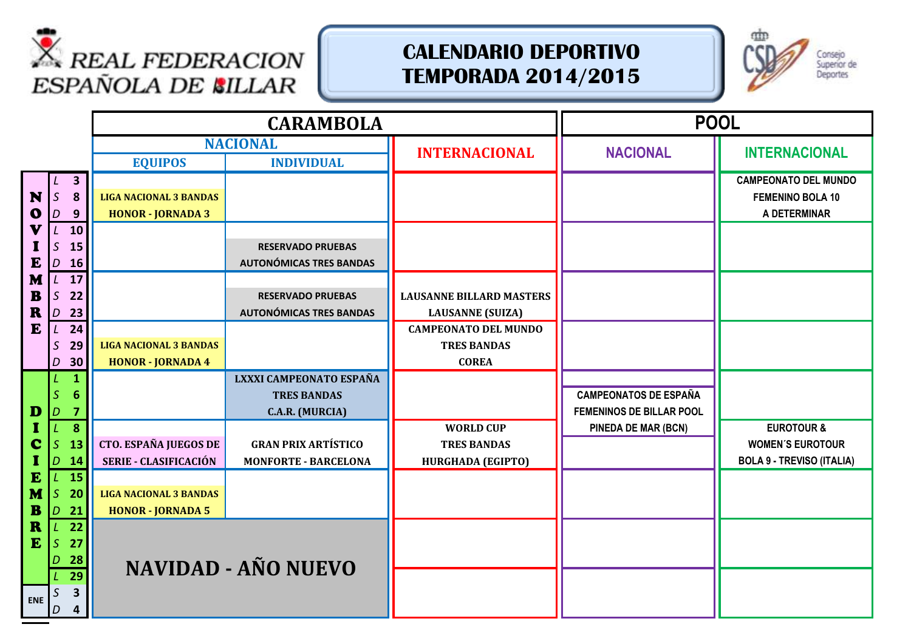



|              |                     |                               | <b>CARAMBOLA</b>               |                                 |                              | <b>POOL</b>                      |
|--------------|---------------------|-------------------------------|--------------------------------|---------------------------------|------------------------------|----------------------------------|
|              |                     |                               | <b>NACIONAL</b>                | <b>INTERNACIONAL</b>            | <b>NACIONAL</b>              | <b>INTERNACIONAL</b>             |
|              |                     | <b>EQUIPOS</b>                | <b>INDIVIDUAL</b>              |                                 |                              |                                  |
|              | $\mathbf{3}$        |                               |                                |                                 |                              | <b>CAMPEONATO DEL MUNDO</b>      |
| N            | $\mathsf S$<br>8    | <b>LIGA NACIONAL 3 BANDAS</b> |                                |                                 |                              | <b>FEMENINO BOLA 10</b>          |
| $\mathbf o$  | 9<br>D              | <b>HONOR - JORNADA 3</b>      |                                |                                 |                              | A DETERMINAR                     |
| V            | 10                  |                               |                                |                                 |                              |                                  |
|              | $\mathsf S$<br>15   |                               | <b>RESERVADO PRUEBAS</b>       |                                 |                              |                                  |
| E            | <b>16</b><br>D      |                               | <b>AUTONÓMICAS TRES BANDAS</b> |                                 |                              |                                  |
| M            | 17<br>L             |                               |                                |                                 |                              |                                  |
| $\mathbf{B}$ | $\mathsf S$<br>22   |                               | <b>RESERVADO PRUEBAS</b>       | <b>LAUSANNE BILLARD MASTERS</b> |                              |                                  |
| $\mathbf R$  | D<br>23             |                               | <b>AUTONÓMICAS TRES BANDAS</b> | <b>LAUSANNE</b> (SUIZA)         |                              |                                  |
| E            | 24<br>$\mathcal{L}$ |                               |                                | <b>CAMPEONATO DEL MUNDO</b>     |                              |                                  |
|              | $\mathsf{S}$<br>29  | <b>LIGA NACIONAL 3 BANDAS</b> |                                | <b>TRES BANDAS</b>              |                              |                                  |
|              | 30<br>D             | <b>HONOR - JORNADA 4</b>      |                                | <b>COREA</b>                    |                              |                                  |
|              | $\mathbf{1}$        |                               | LXXXI CAMPEONATO ESPAÑA        |                                 |                              |                                  |
|              | 6                   |                               | <b>TRES BANDAS</b>             |                                 | <b>CAMPEONATOS DE ESPAÑA</b> |                                  |
| D            | D<br>7              |                               | C.A.R. (MURCIA)                |                                 | FEMENINOS DE BILLAR POOL     |                                  |
|              | 8                   |                               |                                | <b>WORLD CUP</b>                | PINEDA DE MAR (BCN)          | <b>EUROTOUR &amp;</b>            |
| C            | S<br>13             | CTO. ESPAÑA JUEGOS DE         | <b>GRAN PRIX ARTÍSTICO</b>     | <b>TRES BANDAS</b>              |                              | <b>WOMEN'S EUROTOUR</b>          |
|              | D<br><b>14</b>      | SERIE - CLASIFICACIÓN         | <b>MONFORTE - BARCELONA</b>    | <b>HURGHADA (EGIPTO)</b>        |                              | <b>BOLA 9 - TREVISO (ITALIA)</b> |
| $\mathbf{E}$ | 15                  |                               |                                |                                 |                              |                                  |
| M            | $\mathcal{S}$<br>20 | <b>LIGA NACIONAL 3 BANDAS</b> |                                |                                 |                              |                                  |
| $\mathbf{B}$ | 21<br>D             | <b>HONOR - JORNADA 5</b>      |                                |                                 |                              |                                  |
| R            | 22                  |                               |                                |                                 |                              |                                  |
| E            | $\mathcal{S}$<br>27 |                               |                                |                                 |                              |                                  |
|              | 28                  |                               | <b>NAVIDAD - AÑO NUEVO</b>     |                                 |                              |                                  |
|              | $\overline{29}$     |                               |                                |                                 |                              |                                  |
| <b>ENE</b>   | 3                   |                               |                                |                                 |                              |                                  |
|              | D<br>4              |                               |                                |                                 |                              |                                  |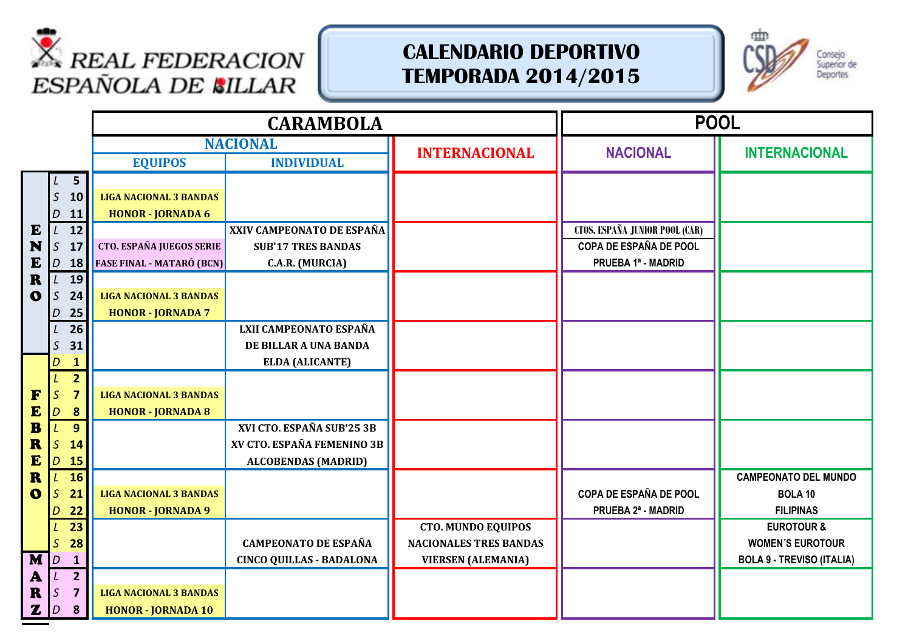



|              |                                 | <b>CARAMBOLA</b>                 |                                 |                               | <b>POOL</b>                           |                                  |
|--------------|---------------------------------|----------------------------------|---------------------------------|-------------------------------|---------------------------------------|----------------------------------|
|              |                                 |                                  | <b>NACIONAL</b>                 | <b>INTERNACIONAL</b>          | <b>NACIONAL</b>                       | <b>INTERNACIONAL</b>             |
|              |                                 | <b>EQUIPOS</b>                   | <b>INDIVIDUAL</b>               |                               |                                       |                                  |
|              | 5 <sup>5</sup>                  |                                  |                                 |                               |                                       |                                  |
|              | $\mathcal{S}$<br>10             | <b>LIGA NACIONAL 3 BANDAS</b>    |                                 |                               |                                       |                                  |
|              | 11<br>D                         | <b>HONOR - JORNADA 6</b>         |                                 |                               |                                       |                                  |
| E            | 12<br>L                         |                                  | XXIV CAMPEONATO DE ESPAÑA       |                               | <b>CTOS. ESPAÑA JUNIOR POOL (CAR)</b> |                                  |
| N            | $\mathsf S$<br>17               | <b>CTO. ESPAÑA JUEGOS SERIE</b>  | <b>SUB'17 TRES BANDAS</b>       |                               | <b>COPA DE ESPAÑA DE POOL</b>         |                                  |
| E            | D<br>18                         | <b>FASE FINAL - MATARÓ (BCN)</b> | C.A.R. (MURCIA)                 |                               | PRUEBA 1ª - MADRID                    |                                  |
| $\mathbf R$  | 19<br>$\mathsf{L}$              |                                  |                                 |                               |                                       |                                  |
| $\mathbf 0$  | $\mathcal{S}$<br>24             | <b>LIGA NACIONAL 3 BANDAS</b>    |                                 |                               |                                       |                                  |
|              | 25<br>D                         | <b>HONOR - JORNADA 7</b>         |                                 |                               |                                       |                                  |
|              | 26                              |                                  | LXII CAMPEONATO ESPAÑA          |                               |                                       |                                  |
|              | $\mathcal{S}$<br>31             |                                  | DE BILLAR A UNA BANDA           |                               |                                       |                                  |
|              | 1<br>D<br>2 <sup>1</sup>        |                                  | <b>ELDA (ALICANTE)</b>          |                               |                                       |                                  |
| F            | $\mathcal{S}$<br>$\overline{7}$ | <b>LIGA NACIONAL 3 BANDAS</b>    |                                 |                               |                                       |                                  |
| E            | 8<br>D                          | <b>HONOR - JORNADA 8</b>         |                                 |                               |                                       |                                  |
| $\mathbf{B}$ | 9 <sup>°</sup><br>L             |                                  | XVI CTO. ESPAÑA SUB'25 3B       |                               |                                       |                                  |
| R            | $\mathsf S$<br>14               |                                  | XV CTO. ESPAÑA FEMENINO 3B      |                               |                                       |                                  |
| E            | <b>15</b><br>D                  |                                  | <b>ALCOBENDAS (MADRID)</b>      |                               |                                       |                                  |
| $\mathbf R$  | <b>16</b><br>L                  |                                  |                                 |                               |                                       | <b>CAMPEONATO DEL MUNDO</b>      |
| $\mathbf 0$  | $\mathcal{S}$<br>21             | <b>LIGA NACIONAL 3 BANDAS</b>    |                                 |                               | <b>COPA DE ESPAÑA DE POOL</b>         | <b>BOLA 10</b>                   |
|              | 22<br>D                         | <b>HONOR - JORNADA 9</b>         |                                 |                               | PRUEBA 2ª - MADRID                    | <b>FILIPINAS</b>                 |
|              | 23                              |                                  |                                 | <b>CTO. MUNDO EQUIPOS</b>     |                                       | <b>EUROTOUR &amp;</b>            |
|              | $\mathcal{S}$<br>28             |                                  | <b>CAMPEONATO DE ESPAÑA</b>     | <b>NACIONALES TRES BANDAS</b> |                                       | <b>WOMEN'S EUROTOUR</b>          |
| M            | $\mathbf{1}$<br>D               |                                  | <b>CINCO QUILLAS - BADALONA</b> | <b>VIERSEN (ALEMANIA)</b>     |                                       | <b>BOLA 9 - TREVISO (ITALIA)</b> |
| $\mathbf{A}$ | 2 <sup>1</sup>                  |                                  |                                 |                               |                                       |                                  |
| $\mathbf R$  | $\mathsf S$<br>$\overline{7}$   | <b>LIGA NACIONAL 3 BANDAS</b>    |                                 |                               |                                       |                                  |
| $\mathbf{z}$ | 8<br>$\vert D \vert$            | <b>HONOR - JORNADA 10</b>        |                                 |                               |                                       |                                  |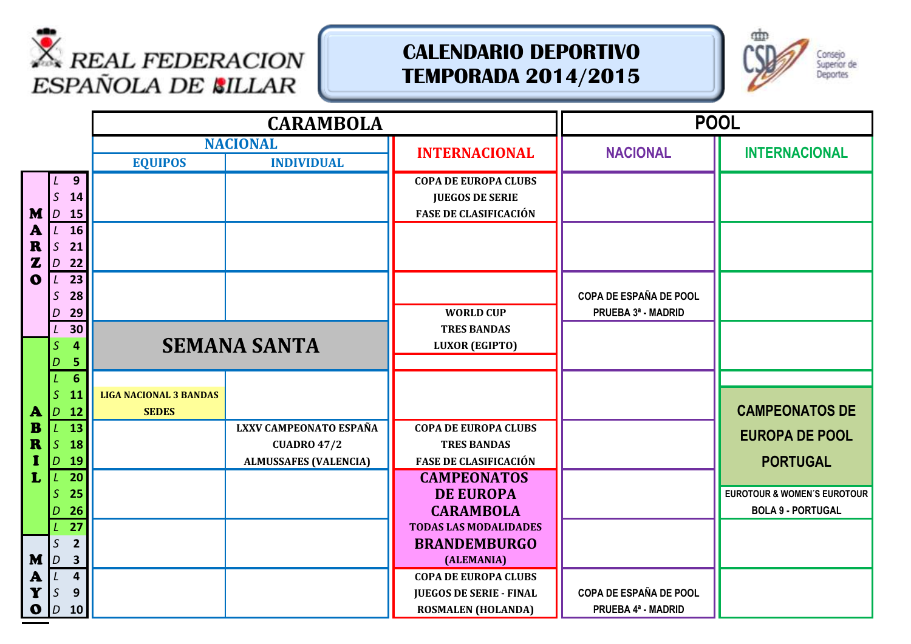



|                                             |                                                                                     |                                           |                                               | <b>CARAMBOLA</b>                                                             |                                                                                            |                                              | <b>POOL</b>                                                        |
|---------------------------------------------|-------------------------------------------------------------------------------------|-------------------------------------------|-----------------------------------------------|------------------------------------------------------------------------------|--------------------------------------------------------------------------------------------|----------------------------------------------|--------------------------------------------------------------------|
|                                             |                                                                                     |                                           | <b>EQUIPOS</b>                                | <b>NACIONAL</b><br><b>INDIVIDUAL</b>                                         | <b>INTERNACIONAL</b>                                                                       | <b>NACIONAL</b>                              | <b>INTERNACIONAL</b>                                               |
| M<br>A<br>R<br>$\mathbf{z}$<br>$\mathbf{o}$ | $\mathcal{S}$<br>$D$ 15<br>$\mathcal{L}$<br>$\mathsf{S}$<br>$D$ 22<br>$\mathcal{L}$ | 9<br>14<br><b>16</b><br>21<br>23          |                                               |                                                                              | <b>COPA DE EUROPA CLUBS</b><br><b>JUEGOS DE SERIE</b><br><b>FASE DE CLASIFICACIÓN</b>      |                                              |                                                                    |
|                                             | $\mathsf{S}$<br>D<br>$L$ 30                                                         | 28<br>29                                  |                                               |                                                                              | <b>WORLD CUP</b><br><b>TRES BANDAS</b>                                                     | COPA DE ESPAÑA DE POOL<br>PRUEBA 3ª - MADRID |                                                                    |
|                                             | $\overline{\mathcal{S}}$                                                            | 4<br>5                                    |                                               | <b>SEMANA SANTA</b>                                                          | <b>LUXOR (EGIPTO)</b>                                                                      |                                              |                                                                    |
| A                                           | S.<br>$D$ 12                                                                        | $6\phantom{1}$<br>11                      | <b>LIGA NACIONAL 3 BANDAS</b><br><b>SEDES</b> |                                                                              |                                                                                            |                                              | <b>CAMPEONATOS DE</b>                                              |
| B<br>R                                      | $\overline{S}$<br>D.                                                                | 13<br>18<br>19                            |                                               | LXXV CAMPEONATO ESPAÑA<br><b>CUADRO 47/2</b><br><b>ALMUSSAFES (VALENCIA)</b> | <b>COPA DE EUROPA CLUBS</b><br><b>TRES BANDAS</b><br><b>FASE DE CLASIFICACIÓN</b>          |                                              | <b>EUROPA DE POOL</b><br><b>PORTUGAL</b>                           |
| L                                           | L<br>$\overline{27}$                                                                | 20<br>25<br>26                            |                                               |                                                                              | <b>CAMPEONATOS</b><br><b>DE EUROPA</b><br><b>CARAMBOLA</b><br><b>TODAS LAS MODALIDADES</b> |                                              | <b>EUROTOUR &amp; WOMEN'S EUROTOUR</b><br><b>BOLA 9 - PORTUGAL</b> |
| M                                           | $\mathsf{S}$<br>$\overline{D}$                                                      | $\overline{2}$<br>$\overline{\mathbf{3}}$ |                                               |                                                                              | <b>BRANDEMBURGO</b><br>(ALEMANIA)                                                          |                                              |                                                                    |
| A<br>Y<br>$\mathbf{o}$                      | S<br>D                                                                              | $\overline{\mathbf{4}}$<br>9<br><b>10</b> |                                               |                                                                              | <b>COPA DE EUROPA CLUBS</b><br><b>JUEGOS DE SERIE - FINAL</b><br><b>ROSMALEN (HOLANDA)</b> | COPA DE ESPAÑA DE POOL<br>PRUEBA 4ª - MADRID |                                                                    |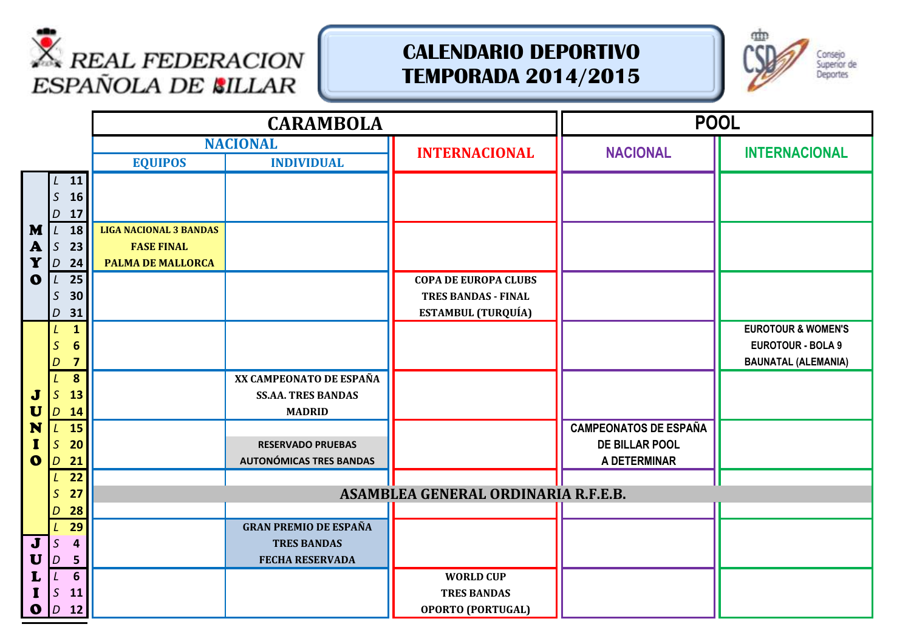



|                       |                                                   | <b>CARAMBOLA</b>                                                               |                                                                              |                                                                                        | <b>POOL</b>                                                    |                                                                                         |
|-----------------------|---------------------------------------------------|--------------------------------------------------------------------------------|------------------------------------------------------------------------------|----------------------------------------------------------------------------------------|----------------------------------------------------------------|-----------------------------------------------------------------------------------------|
|                       |                                                   |                                                                                | <b>NACIONAL</b>                                                              | <b>INTERNACIONAL</b>                                                                   | <b>NACIONAL</b>                                                | <b>INTERNACIONAL</b>                                                                    |
|                       |                                                   | <b>EQUIPOS</b>                                                                 | <b>INDIVIDUAL</b>                                                            |                                                                                        |                                                                |                                                                                         |
|                       | $L$ 11<br>$\mathsf S$<br>16<br>17<br>D            |                                                                                |                                                                              |                                                                                        |                                                                |                                                                                         |
| M<br>A<br>Y           | 18<br>L<br>$\mathsf S$<br>23<br>D<br>24           | <b>LIGA NACIONAL 3 BANDAS</b><br><b>FASE FINAL</b><br><b>PALMA DE MALLORCA</b> |                                                                              |                                                                                        |                                                                |                                                                                         |
| $\mathbf{o}$          | 25<br>L<br>$\mathsf S$<br>30<br>31<br>D           |                                                                                |                                                                              | <b>COPA DE EUROPA CLUBS</b><br><b>TRES BANDAS - FINAL</b><br><b>ESTAMBUL (TURQUÍA)</b> |                                                                |                                                                                         |
|                       | $\mathbf{1}$<br>6<br>$\overline{\mathbf{z}}$<br>D |                                                                                |                                                                              |                                                                                        |                                                                | <b>EUROTOUR &amp; WOMEN'S</b><br><b>EUROTOUR - BOLA 9</b><br><b>BAUNATAL (ALEMANIA)</b> |
| J<br>$\mathbf U$      | 8<br>$\mathcal{S}$<br>13<br>D<br>14               |                                                                                | XX CAMPEONATO DE ESPAÑA<br><b>SS.AA. TRES BANDAS</b><br><b>MADRID</b>        |                                                                                        |                                                                |                                                                                         |
| N<br>1<br>$\mathbf 0$ | <b>15</b><br>L<br>$\mathcal{S}$<br>20<br>21<br>D  |                                                                                | <b>RESERVADO PRUEBAS</b><br><b>AUTONÓMICAS TRES BANDAS</b>                   |                                                                                        | <b>CAMPEONATOS DE ESPAÑA</b><br>DE BILLAR POOL<br>A DETERMINAR |                                                                                         |
|                       | 22<br>27                                          |                                                                                |                                                                              | ASAMBLEA GENERAL ORDINARIA R.F.E.B.                                                    |                                                                |                                                                                         |
|                       | 28<br>D                                           |                                                                                |                                                                              |                                                                                        |                                                                |                                                                                         |
| $\mathbf J$<br>U      | 29<br>S<br>$\overline{a}$<br>5<br>$\overline{D}$  |                                                                                | <b>GRAN PREMIO DE ESPAÑA</b><br><b>TRES BANDAS</b><br><b>FECHA RESERVADA</b> |                                                                                        |                                                                |                                                                                         |
| L<br>$\mathbf{o}$     | 6<br>S<br>11<br>$D$ 12                            |                                                                                |                                                                              | <b>WORLD CUP</b><br><b>TRES BANDAS</b><br><b>OPORTO (PORTUGAL)</b>                     |                                                                |                                                                                         |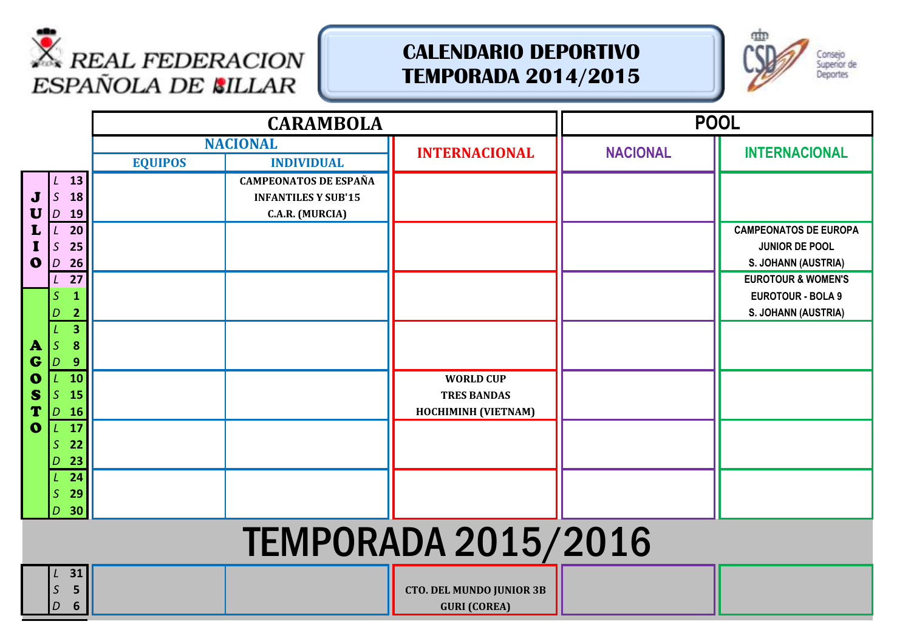



|                                                          |                                                                                                                                      |                | <b>CARAMBOLA</b>                                                                                   |                                                               |                 | <b>POOL</b>                                                                                                                                               |  |  |
|----------------------------------------------------------|--------------------------------------------------------------------------------------------------------------------------------------|----------------|----------------------------------------------------------------------------------------------------|---------------------------------------------------------------|-----------------|-----------------------------------------------------------------------------------------------------------------------------------------------------------|--|--|
|                                                          |                                                                                                                                      |                | <b>NACIONAL</b>                                                                                    | <b>INTERNACIONAL</b>                                          | <b>NACIONAL</b> | <b>INTERNACIONAL</b>                                                                                                                                      |  |  |
| $\mathbf J$<br>U<br>$\mathbf 0$                          | 13<br>$\mathcal{S}$<br><b>18</b><br>19<br>D<br>20<br>L<br>$\mathcal{S}$<br>25<br>26<br>$\overline{D}$<br>27<br>S<br>1<br>2<br>D<br>3 | <b>EQUIPOS</b> | <b>INDIVIDUAL</b><br><b>CAMPEONATOS DE ESPAÑA</b><br><b>INFANTILES Y SUB'15</b><br>C.A.R. (MURCIA) |                                                               |                 | <b>CAMPEONATOS DE EUROPA</b><br>JUNIOR DE POOL<br>S. JOHANN (AUSTRIA)<br><b>EUROTOUR &amp; WOMEN'S</b><br><b>EUROTOUR - BOLA 9</b><br>S. JOHANN (AUSTRIA) |  |  |
| $\mathbf{A}$<br>G<br>$\bullet$<br>S<br>T<br>$\mathbf{o}$ | 8<br>S<br>9<br>D<br><b>10</b><br>S<br>15<br><b>16</b><br>D<br>17<br>22<br>S<br>23<br>D<br>24<br>29<br>S<br>30<br>D                   |                |                                                                                                    | <b>WORLD CUP</b><br><b>TRES BANDAS</b><br>HOCHIMINH (VIETNAM) |                 |                                                                                                                                                           |  |  |
|                                                          | <b>TEMPORADA 2015/2016</b>                                                                                                           |                |                                                                                                    |                                                               |                 |                                                                                                                                                           |  |  |
|                                                          | 31<br>5<br>S<br>6<br>D                                                                                                               |                |                                                                                                    | <b>CTO. DEL MUNDO JUNIOR 3B</b><br><b>GURI (COREA)</b>        |                 |                                                                                                                                                           |  |  |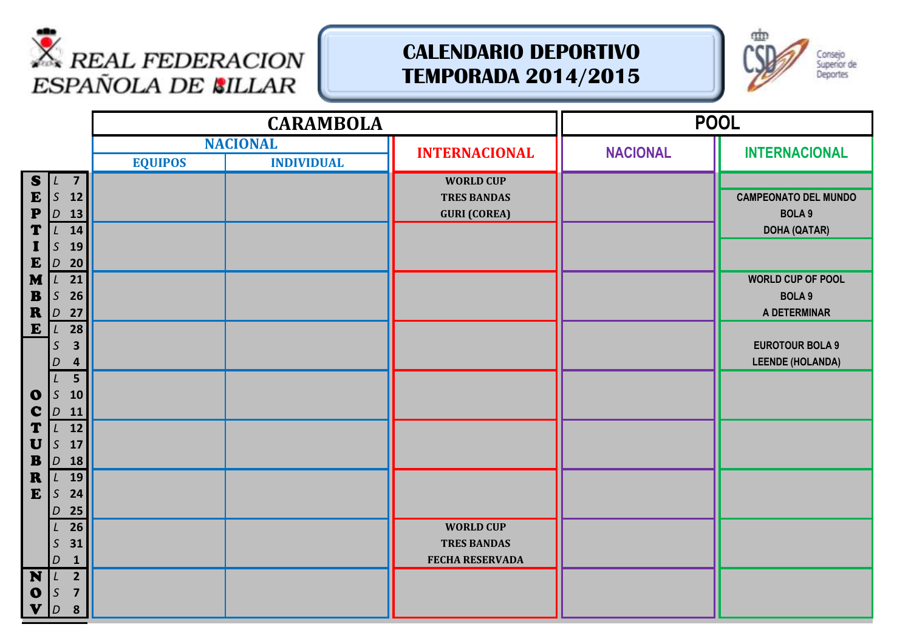



|                                                                   |                                                                                        | <b>CARAMBOLA</b> |                   |                                                                  |                 | <b>POOL</b>                                       |
|-------------------------------------------------------------------|----------------------------------------------------------------------------------------|------------------|-------------------|------------------------------------------------------------------|-----------------|---------------------------------------------------|
|                                                                   |                                                                                        |                  | <b>NACIONAL</b>   | <b>INTERNACIONAL</b>                                             | <b>NACIONAL</b> | <b>INTERNACIONAL</b>                              |
|                                                                   |                                                                                        | <b>EQUIPOS</b>   | <b>INDIVIDUAL</b> |                                                                  |                 |                                                   |
| S<br>${\bf E}$<br>$\mathbf{P}$                                    | $\overline{7}$<br>15 <sup>2</sup><br>12<br>$\vert D \vert$<br>13                       |                  |                   | <b>WORLD CUP</b><br><b>TRES BANDAS</b><br><b>GURI (COREA)</b>    |                 | <b>CAMPEONATO DEL MUNDO</b><br><b>BOLA 9</b>      |
| T<br>I<br>$\mathbf{E}$                                            | 14<br>L<br>$\mathsf S$<br>19<br>20<br>$\overline{D}$                                   |                  |                   |                                                                  |                 | <b>DOHA (QATAR)</b><br><b>WORLD CUP OF POOL</b>   |
| M<br>$\mathbf{B}$<br>$\pmb{R}$                                    | 21<br>$\mathcal{L}$<br>$\mathsf S$<br>26<br>27<br>$\vert D \vert$                      |                  |                   |                                                                  |                 | <b>BOLA 9</b><br>A DETERMINAR                     |
| ${\bf E}$                                                         | 28<br>L<br>$\overline{\mathbf{3}}$<br>S<br>4<br>D                                      |                  |                   |                                                                  |                 | <b>EUROTOUR BOLA 9</b><br><b>LEENDE (HOLANDA)</b> |
| $\bullet$<br>$\mathbf c$                                          | $\overline{\mathbf{5}}$<br>$\mathsf S$<br>10<br>$\vert D \vert$<br>11                  |                  |                   |                                                                  |                 |                                                   |
| T<br>U<br>$\mathbf{B}$                                            | 12<br>L<br>$\mathsf S$<br>17<br>$D$ 18                                                 |                  |                   |                                                                  |                 |                                                   |
| $\mathbf R$<br>E                                                  | 19<br>L<br>$\mathsf S$<br>24<br>25<br>D                                                |                  |                   |                                                                  |                 |                                                   |
|                                                                   | 26<br>31<br>$\mathsf S$<br>$\mathbf 1$<br>D                                            |                  |                   | <b>WORLD CUP</b><br><b>TRES BANDAS</b><br><b>FECHA RESERVADA</b> |                 |                                                   |
| $\overline{\mathbf{N}}$<br>$\bullet$<br>$\boldsymbol{\mathsf{v}}$ | $\overline{2}$<br>$\mathsf S$<br>$\overline{7}$<br>$\boldsymbol{8}$<br>$\vert D \vert$ |                  |                   |                                                                  |                 |                                                   |